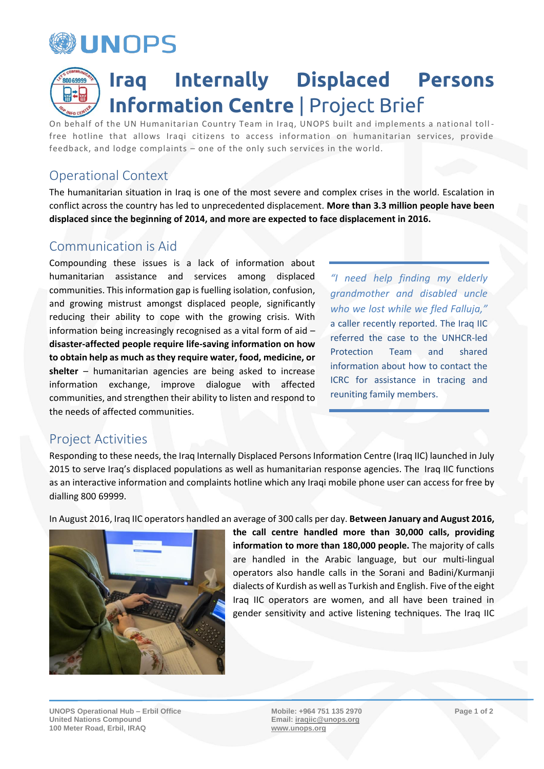

# **Iraq Internally Displaced Persons**  80069999 **Information Centre** | Project Brief

On behalf of the UN Humanitarian Country Team in Iraq, UNOPS built and implements a national toll free hotline that allows Iraqi citizens to access information on humanitarian services, provide feedback, and lodge complaints – one of the only such services in the world.

# Operational Context

The humanitarian situation in Iraq is one of the most severe and complex crises in the world. Escalation in conflict across the country has led to unprecedented displacement. **More than 3.3 million people have been displaced since the beginning of 2014, and more are expected to face displacement in 2016.**

### Communication is Aid

Compounding these issues is a lack of information about humanitarian assistance and services among displaced communities. This information gap is fuelling isolation, confusion, and growing mistrust amongst displaced people, significantly reducing their ability to cope with the growing crisis. With information being increasingly recognised as a vital form of aid – **disaster-affected people require life-saving information on how to obtain help as much as they require water, food, medicine, or shelter** – humanitarian agencies are being asked to increase information exchange, improve dialogue with affected communities, and strengthen their ability to listen and respond to the needs of affected communities.

*"I need help finding my elderly grandmother and disabled uncle who we lost while we fled Falluja,"* a caller recently reported. The Iraq IIC referred the case to the UNHCR-led Protection Team and shared information about how to contact the ICRC for assistance in tracing and reuniting family members.

#### Project Activities

Responding to these needs, the Iraq Internally Displaced Persons Information Centre (Iraq IIC) launched in July 2015 to serve Iraq's displaced populations as well as humanitarian response agencies. The Iraq IIC functions as an interactive information and complaints hotline which any Iraqi mobile phone user can access for free by dialling 800 69999.

In August 2016, Iraq IIC operators handled an average of 300 calls per day. **Between January and August 2016,** 



**the call centre handled more than 30,000 calls, providing information to more than 180,000 people.** The majority of calls are handled in the Arabic language, but our multi-lingual operators also handle calls in the Sorani and Badini/Kurmanji dialects of Kurdish as well as Turkish and English. Five of the eight Iraq IIC operators are women, and all have been trained in gender sensitivity and active listening techniques. The Iraq IIC